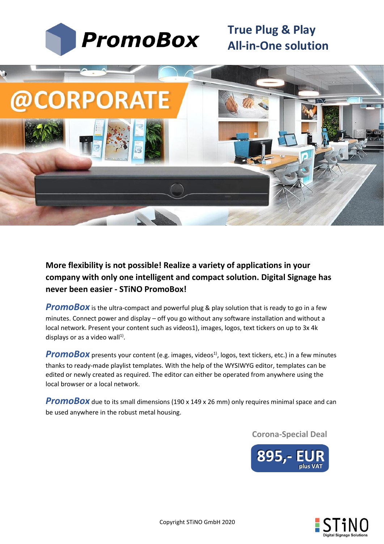



**More flexibility is not possible! Realize a variety of applications in your company with only one intelligent and compact solution. Digital Signage has never been easier - STiNO PromoBox!**

**PromoBox** is the ultra-compact and powerful plug & play solution that is ready to go in a few minutes. Connect power and display – off you go without any software installation and without a local network. Present your content such as videos1), images, logos, text tickers on up to 3x 4k displays or as a video wall $^{1)}$ .

**PromoBox** presents your content (e.g. images, videos<sup>1)</sup>, logos, text tickers, etc.) in a few minutes thanks to ready-made playlist templates. With the help of the WYSIWYG editor, templates can be edited or newly created as required. The editor can either be operated from anywhere using the local browser or a local network.

**PromoBox** due to its small dimensions (190 x 149 x 26 mm) only requires minimal space and can be used anywhere in the robust metal housing.

**Corona-Special Deal**



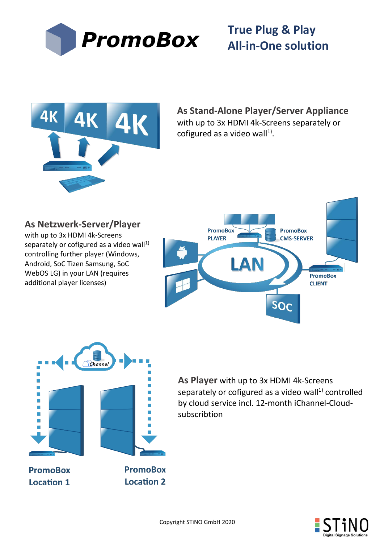



**As Netzwerk-Server/Player**

separately or cofigured as a video wall $1$ ) controlling further player (Windows, Android, SoC Tizen Samsung, SoC WebOS LG) in your LAN (requires

with up to 3x HDMI 4k-Screens

additional player licenses)

**As Stand-Alone Player/Server Appliance** with up to 3x HDMI 4k-Screens separately or cofigured as a video wall<sup>1)</sup>.





**As Player** with up to 3x HDMI 4k-Screens separately or cofigured as a video wall $1$ <sup>)</sup> controlled by cloud service incl. 12-month iChannel-Cloudsubscribtion

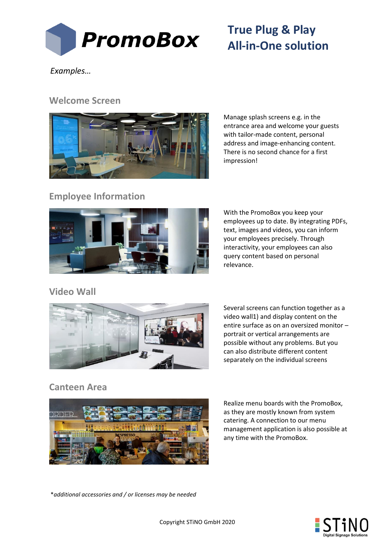

*Examples…*

#### **Welcome Screen**



Manage splash screens e.g. in the entrance area and welcome your guests with tailor-made content, personal address and image-enhancing content. There is no second chance for a first impression!

### **Employee Information**



With the PromoBox you keep your employees up to date. By integrating PDFs, text, images and videos, you can inform your employees precisely. Through interactivity, your employees can also query content based on personal relevance.

### **Video Wall**



Several screens can function together as a video wall1) and display content on the entire surface as on an oversized monitor – portrait or vertical arrangements are possible without any problems. But you can also distribute different content separately on the individual screens

### **Canteen Area**



Realize menu boards with the PromoBox, as they are mostly known from system catering. A connection to our menu management application is also possible at any time with the PromoBox.

\**additional accessories and / or licenses may be needed*

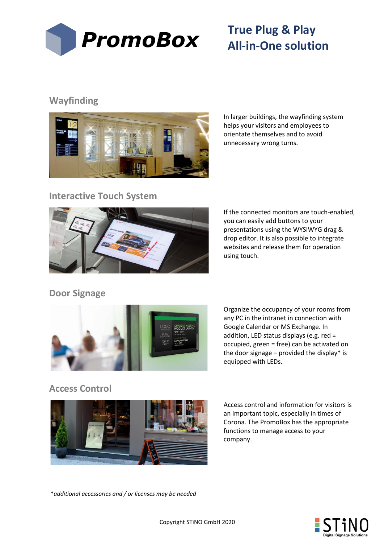

### **Wayfinding**



In larger buildings, the wayfinding system helps your visitors and employees to orientate themselves and to avoid unnecessary wrong turns.

#### **Interactive Touch System**



If the connected monitors are touch-enabled, you can easily add buttons to your presentations using the WYSIWYG drag & drop editor. It is also possible to integrate websites and release them for operation using touch.

### **Door Signage**



Organize the occupancy of your rooms from any PC in the intranet in connection with Google Calendar or MS Exchange. In addition, LED status displays (e.g. red = occupied, green = free) can be activated on the door signage – provided the display\* is equipped with LEDs.

## **Access Control**



Access control and information for visitors is an important topic, especially in times of Corona. The PromoBox has the appropriate functions to manage access to your company.

\**additional accessories and / or licenses may be needed*

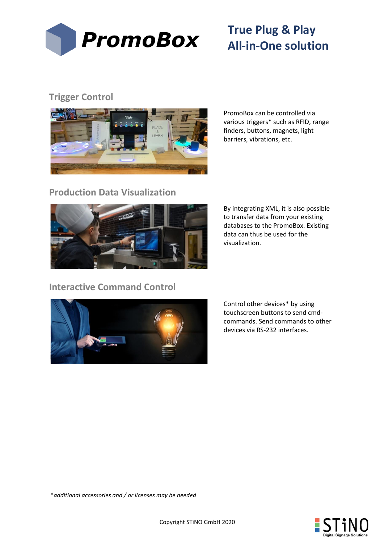

## **Trigger Control**



PromoBox can be controlled via various triggers\* such as RFID, range finders, buttons, magnets, light barriers, vibrations, etc.

#### **Production Data Visualization**



By integrating XML, it is also possible to transfer data from your existing databases to the PromoBox. Existing data can thus be used for the visualization.

### **Interactive Command Control**



Control other devices\* by using touchscreen buttons to send cmdcommands. Send commands to other devices via RS-232 interfaces.

\**additional accessories and / or licenses may be needed*

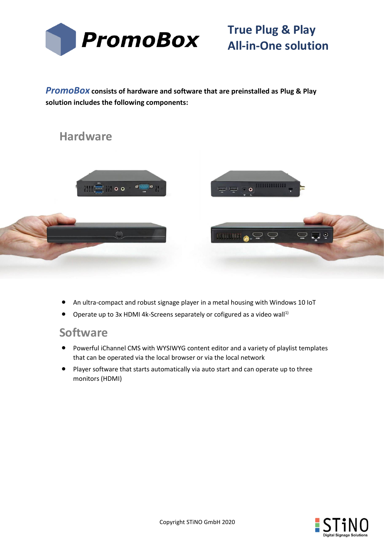

*PromoBox* **consists of hardware and software that are preinstalled as Plug & Play solution includes the following components:**





- An ultra-compact and robust signage player in a metal housing with Windows 10 IoT
- Operate up to 3x HDMI 4k-Screens separately or cofigured as a video wall<sup>1)</sup>

## **Software**

- Powerful iChannel CMS with WYSIWYG content editor and a variety of playlist templates that can be operated via the local browser or via the local network
- Player software that starts automatically via auto start and can operate up to three monitors (HDMI)